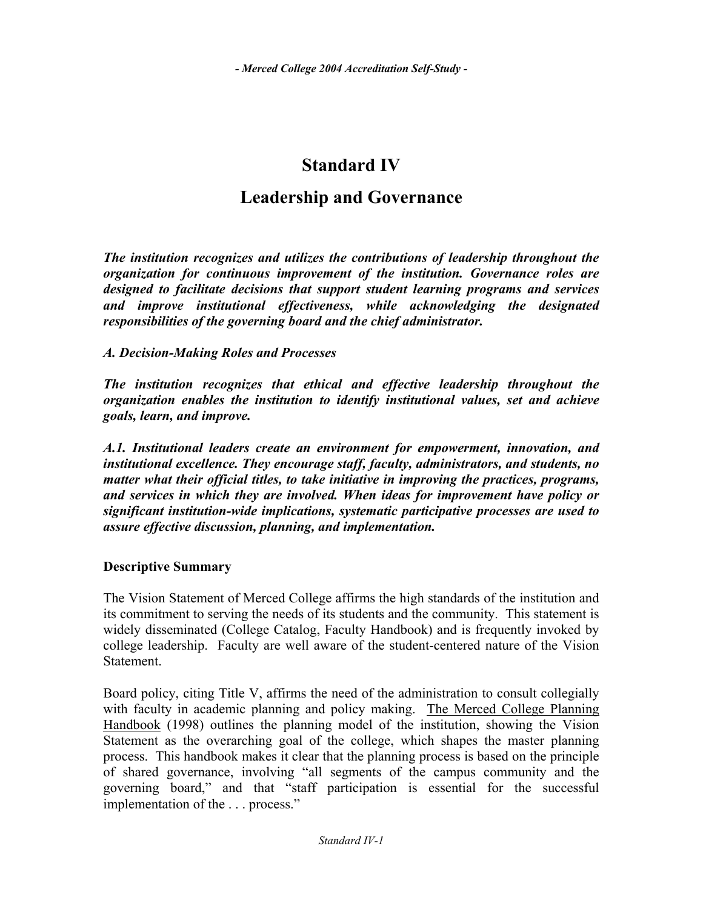# **Standard IV**

# **Leadership and Governance**

*The institution recognizes and utilizes the contributions of leadership throughout the organization for continuous improvement of the institution. Governance roles are designed to facilitate decisions that support student learning programs and services and improve institutional effectiveness, while acknowledging the designated responsibilities of the governing board and the chief administrator.* 

### *A. Decision-Making Roles and Processes*

*The institution recognizes that ethical and effective leadership throughout the organization enables the institution to identify institutional values, set and achieve goals, learn, and improve.* 

*A.1. Institutional leaders create an environment for empowerment, innovation, and institutional excellence. They encourage staff, faculty, administrators, and students, no matter what their official titles, to take initiative in improving the practices, programs, and services in which they are involved. When ideas for improvement have policy or significant institution-wide implications, systematic participative processes are used to assure effective discussion, planning, and implementation.*

### **Descriptive Summary**

The Vision Statement of Merced College affirms the high standards of the institution and its commitment to serving the needs of its students and the community. This statement is widely disseminated (College Catalog, Faculty Handbook) and is frequently invoked by college leadership. Faculty are well aware of the student-centered nature of the Vision Statement.

Board policy, citing Title V, affirms the need of the administration to consult collegially with faculty in academic planning and policy making. The Merced College Planning Handbook (1998) outlines the planning model of the institution, showing the Vision Statement as the overarching goal of the college, which shapes the master planning process. This handbook makes it clear that the planning process is based on the principle of shared governance, involving "all segments of the campus community and the governing board," and that "staff participation is essential for the successful implementation of the . . . process."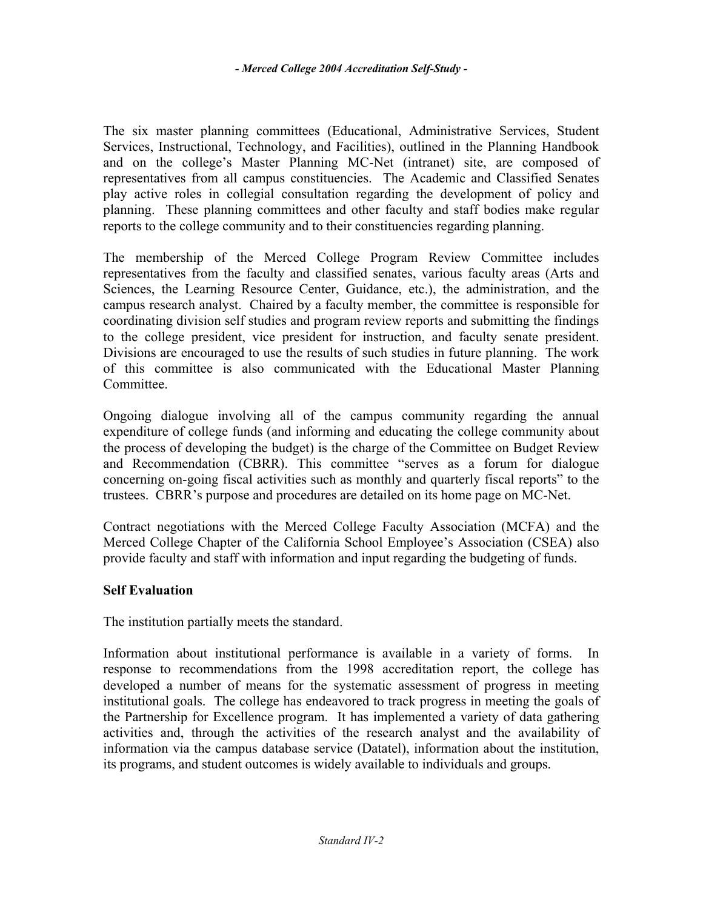The six master planning committees (Educational, Administrative Services, Student Services, Instructional, Technology, and Facilities), outlined in the Planning Handbook and on the college's Master Planning MC-Net (intranet) site, are composed of representatives from all campus constituencies. The Academic and Classified Senates play active roles in collegial consultation regarding the development of policy and planning. These planning committees and other faculty and staff bodies make regular reports to the college community and to their constituencies regarding planning.

The membership of the Merced College Program Review Committee includes representatives from the faculty and classified senates, various faculty areas (Arts and Sciences, the Learning Resource Center, Guidance, etc.), the administration, and the campus research analyst. Chaired by a faculty member, the committee is responsible for coordinating division self studies and program review reports and submitting the findings to the college president, vice president for instruction, and faculty senate president. Divisions are encouraged to use the results of such studies in future planning. The work of this committee is also communicated with the Educational Master Planning Committee.

Ongoing dialogue involving all of the campus community regarding the annual expenditure of college funds (and informing and educating the college community about the process of developing the budget) is the charge of the Committee on Budget Review and Recommendation (CBRR). This committee "serves as a forum for dialogue concerning on-going fiscal activities such as monthly and quarterly fiscal reports" to the trustees. CBRR's purpose and procedures are detailed on its home page on MC-Net.

Contract negotiations with the Merced College Faculty Association (MCFA) and the Merced College Chapter of the California School Employee's Association (CSEA) also provide faculty and staff with information and input regarding the budgeting of funds.

# **Self Evaluation**

The institution partially meets the standard.

Information about institutional performance is available in a variety of forms. In response to recommendations from the 1998 accreditation report, the college has developed a number of means for the systematic assessment of progress in meeting institutional goals. The college has endeavored to track progress in meeting the goals of the Partnership for Excellence program. It has implemented a variety of data gathering activities and, through the activities of the research analyst and the availability of information via the campus database service (Datatel), information about the institution, its programs, and student outcomes is widely available to individuals and groups.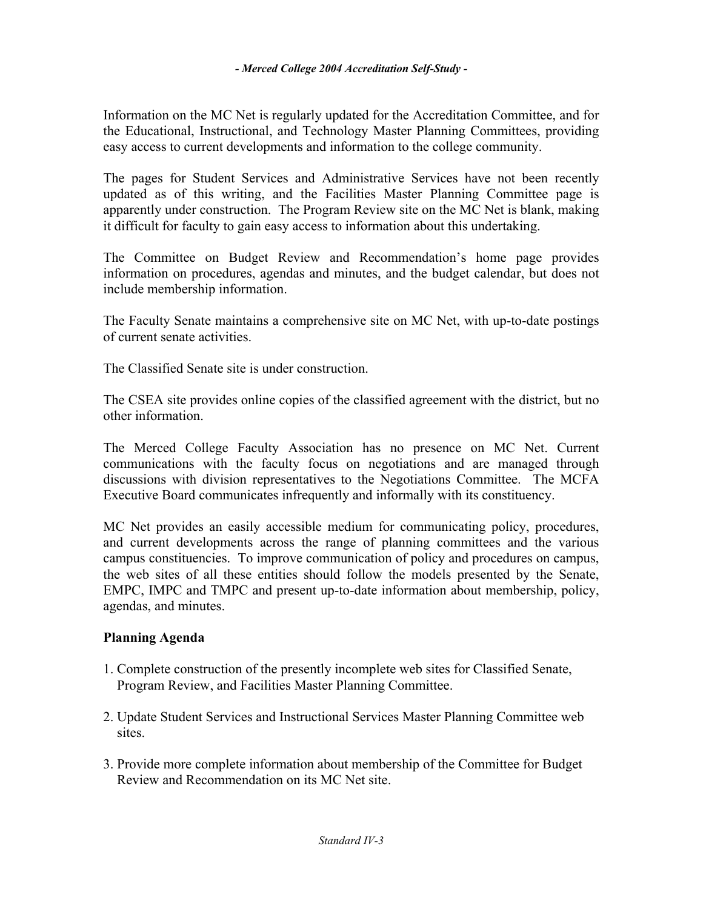Information on the MC Net is regularly updated for the Accreditation Committee, and for the Educational, Instructional, and Technology Master Planning Committees, providing easy access to current developments and information to the college community.

The pages for Student Services and Administrative Services have not been recently updated as of this writing, and the Facilities Master Planning Committee page is apparently under construction. The Program Review site on the MC Net is blank, making it difficult for faculty to gain easy access to information about this undertaking.

The Committee on Budget Review and Recommendation's home page provides information on procedures, agendas and minutes, and the budget calendar, but does not include membership information.

The Faculty Senate maintains a comprehensive site on MC Net, with up-to-date postings of current senate activities.

The Classified Senate site is under construction.

The CSEA site provides online copies of the classified agreement with the district, but no other information.

The Merced College Faculty Association has no presence on MC Net. Current communications with the faculty focus on negotiations and are managed through discussions with division representatives to the Negotiations Committee. The MCFA Executive Board communicates infrequently and informally with its constituency.

MC Net provides an easily accessible medium for communicating policy, procedures, and current developments across the range of planning committees and the various campus constituencies. To improve communication of policy and procedures on campus, the web sites of all these entities should follow the models presented by the Senate, EMPC, IMPC and TMPC and present up-to-date information about membership, policy, agendas, and minutes.

# **Planning Agenda**

- 1. Complete construction of the presently incomplete web sites for Classified Senate, Program Review, and Facilities Master Planning Committee.
- 2. Update Student Services and Instructional Services Master Planning Committee web sites.
- 3. Provide more complete information about membership of the Committee for Budget Review and Recommendation on its MC Net site.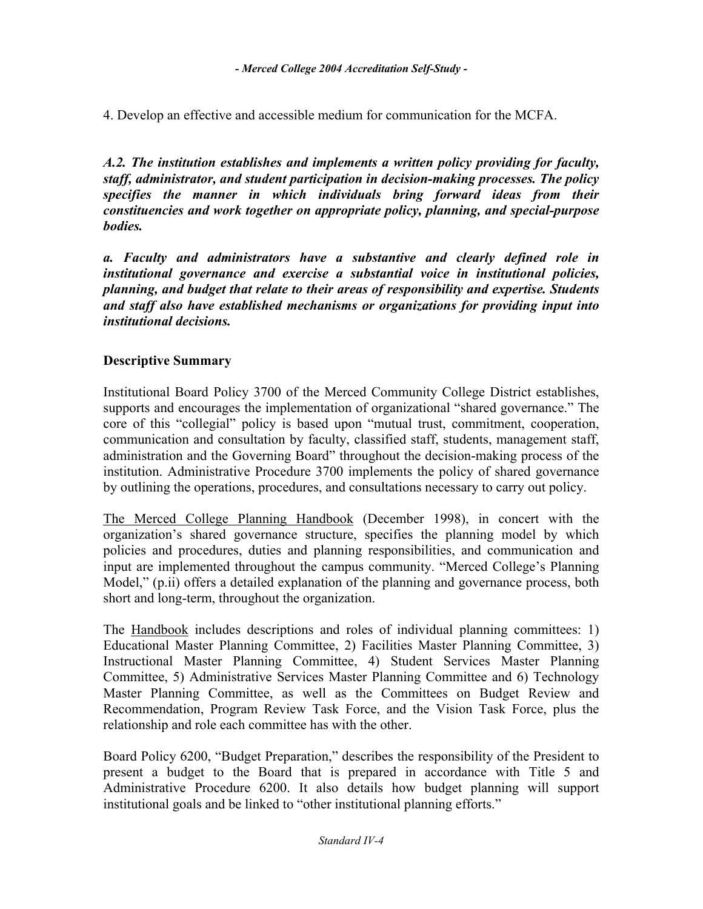4. Develop an effective and accessible medium for communication for the MCFA.

*A.2. The institution establishes and implements a written policy providing for faculty, staff, administrator, and student participation in decision-making processes. The policy specifies the manner in which individuals bring forward ideas from their constituencies and work together on appropriate policy, planning, and special-purpose bodies.* 

*a. Faculty and administrators have a substantive and clearly defined role in institutional governance and exercise a substantial voice in institutional policies, planning, and budget that relate to their areas of responsibility and expertise. Students and staff also have established mechanisms or organizations for providing input into institutional decisions.* 

### **Descriptive Summary**

Institutional Board Policy 3700 of the Merced Community College District establishes, supports and encourages the implementation of organizational "shared governance." The core of this "collegial" policy is based upon "mutual trust, commitment, cooperation, communication and consultation by faculty, classified staff, students, management staff, administration and the Governing Board" throughout the decision-making process of the institution. Administrative Procedure 3700 implements the policy of shared governance by outlining the operations, procedures, and consultations necessary to carry out policy.

The Merced College Planning Handbook (December 1998), in concert with the organization's shared governance structure, specifies the planning model by which policies and procedures, duties and planning responsibilities, and communication and input are implemented throughout the campus community. "Merced College's Planning Model," (p.ii) offers a detailed explanation of the planning and governance process, both short and long-term, throughout the organization.

The Handbook includes descriptions and roles of individual planning committees: 1) Educational Master Planning Committee, 2) Facilities Master Planning Committee, 3) Instructional Master Planning Committee, 4) Student Services Master Planning Committee, 5) Administrative Services Master Planning Committee and 6) Technology Master Planning Committee, as well as the Committees on Budget Review and Recommendation, Program Review Task Force, and the Vision Task Force, plus the relationship and role each committee has with the other.

Board Policy 6200, "Budget Preparation," describes the responsibility of the President to present a budget to the Board that is prepared in accordance with Title 5 and Administrative Procedure 6200. It also details how budget planning will support institutional goals and be linked to "other institutional planning efforts."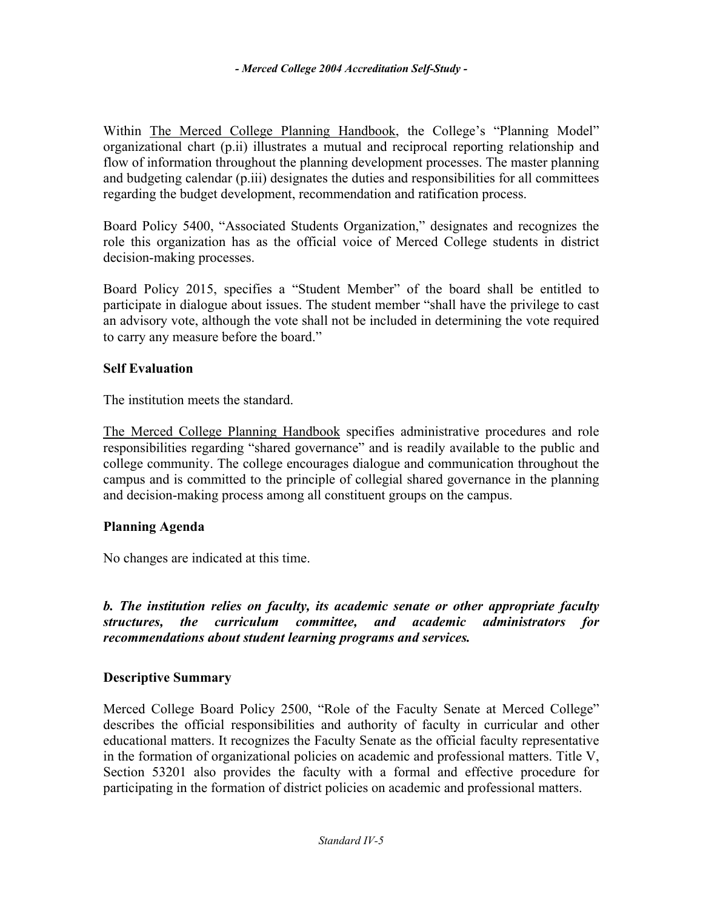Within The Merced College Planning Handbook, the College's "Planning Model" organizational chart (p.ii) illustrates a mutual and reciprocal reporting relationship and flow of information throughout the planning development processes. The master planning and budgeting calendar (p.iii) designates the duties and responsibilities for all committees regarding the budget development, recommendation and ratification process.

Board Policy 5400, "Associated Students Organization," designates and recognizes the role this organization has as the official voice of Merced College students in district decision-making processes.

Board Policy 2015, specifies a "Student Member" of the board shall be entitled to participate in dialogue about issues. The student member "shall have the privilege to cast an advisory vote, although the vote shall not be included in determining the vote required to carry any measure before the board."

### **Self Evaluation**

The institution meets the standard.

The Merced College Planning Handbook specifies administrative procedures and role responsibilities regarding "shared governance" and is readily available to the public and college community. The college encourages dialogue and communication throughout the campus and is committed to the principle of collegial shared governance in the planning and decision-making process among all constituent groups on the campus.

# **Planning Agenda**

No changes are indicated at this time.

*b. The institution relies on faculty, its academic senate or other appropriate faculty structures, the curriculum committee, and academic administrators for recommendations about student learning programs and services.* 

# **Descriptive Summary**

Merced College Board Policy 2500, "Role of the Faculty Senate at Merced College" describes the official responsibilities and authority of faculty in curricular and other educational matters. It recognizes the Faculty Senate as the official faculty representative in the formation of organizational policies on academic and professional matters. Title V, Section 53201 also provides the faculty with a formal and effective procedure for participating in the formation of district policies on academic and professional matters.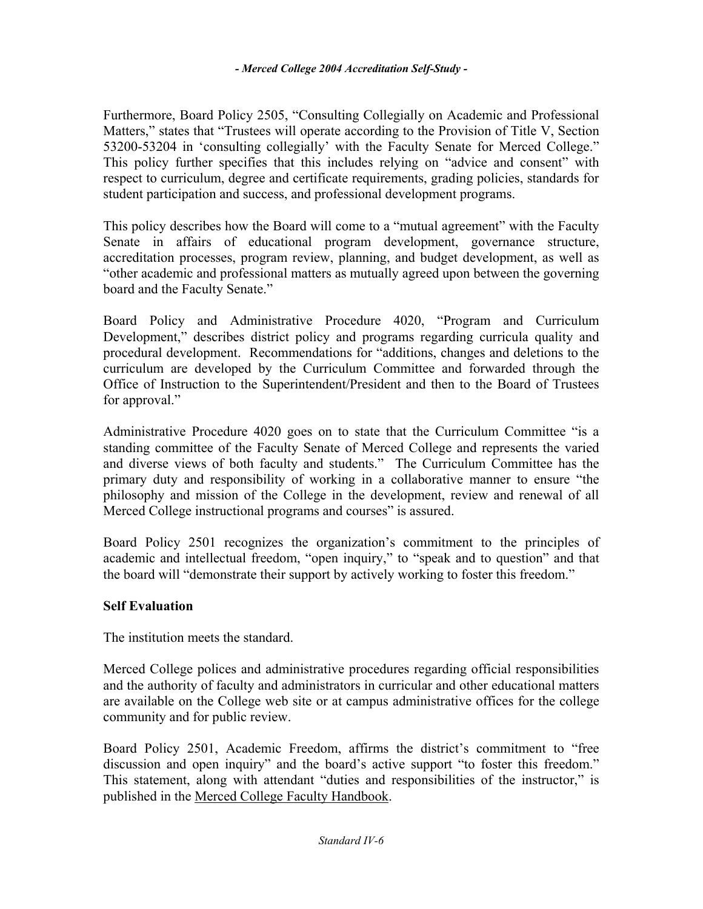Furthermore, Board Policy 2505, "Consulting Collegially on Academic and Professional Matters," states that "Trustees will operate according to the Provision of Title V, Section 53200-53204 in 'consulting collegially' with the Faculty Senate for Merced College." This policy further specifies that this includes relying on "advice and consent" with respect to curriculum, degree and certificate requirements, grading policies, standards for student participation and success, and professional development programs.

This policy describes how the Board will come to a "mutual agreement" with the Faculty Senate in affairs of educational program development, governance structure, accreditation processes, program review, planning, and budget development, as well as "other academic and professional matters as mutually agreed upon between the governing board and the Faculty Senate."

Board Policy and Administrative Procedure 4020, "Program and Curriculum Development," describes district policy and programs regarding curricula quality and procedural development. Recommendations for "additions, changes and deletions to the curriculum are developed by the Curriculum Committee and forwarded through the Office of Instruction to the Superintendent/President and then to the Board of Trustees for approval."

Administrative Procedure 4020 goes on to state that the Curriculum Committee "is a standing committee of the Faculty Senate of Merced College and represents the varied and diverse views of both faculty and students." The Curriculum Committee has the primary duty and responsibility of working in a collaborative manner to ensure "the philosophy and mission of the College in the development, review and renewal of all Merced College instructional programs and courses" is assured.

Board Policy 2501 recognizes the organization's commitment to the principles of academic and intellectual freedom, "open inquiry," to "speak and to question" and that the board will "demonstrate their support by actively working to foster this freedom."

# **Self Evaluation**

The institution meets the standard.

Merced College polices and administrative procedures regarding official responsibilities and the authority of faculty and administrators in curricular and other educational matters are available on the College web site or at campus administrative offices for the college community and for public review.

Board Policy 2501, Academic Freedom, affirms the district's commitment to "free discussion and open inquiry" and the board's active support "to foster this freedom." This statement, along with attendant "duties and responsibilities of the instructor," is published in the Merced College Faculty Handbook.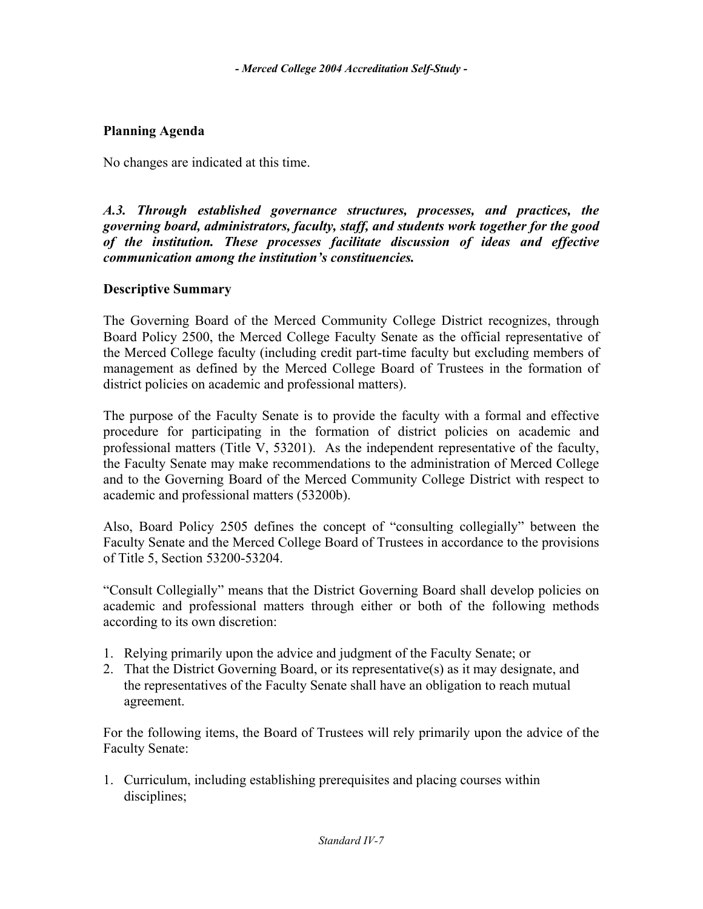### **Planning Agenda**

No changes are indicated at this time.

*A.3. Through established governance structures, processes, and practices, the governing board, administrators, faculty, staff, and students work together for the good of the institution. These processes facilitate discussion of ideas and effective communication among the institution's constituencies.* 

### **Descriptive Summary**

The Governing Board of the Merced Community College District recognizes, through Board Policy 2500, the Merced College Faculty Senate as the official representative of the Merced College faculty (including credit part-time faculty but excluding members of management as defined by the Merced College Board of Trustees in the formation of district policies on academic and professional matters).

The purpose of the Faculty Senate is to provide the faculty with a formal and effective procedure for participating in the formation of district policies on academic and professional matters (Title V, 53201). As the independent representative of the faculty, the Faculty Senate may make recommendations to the administration of Merced College and to the Governing Board of the Merced Community College District with respect to academic and professional matters (53200b).

Also, Board Policy 2505 defines the concept of "consulting collegially" between the Faculty Senate and the Merced College Board of Trustees in accordance to the provisions of Title 5, Section 53200-53204.

"Consult Collegially" means that the District Governing Board shall develop policies on academic and professional matters through either or both of the following methods according to its own discretion:

- 1. Relying primarily upon the advice and judgment of the Faculty Senate; or
- 2. That the District Governing Board, or its representative(s) as it may designate, and the representatives of the Faculty Senate shall have an obligation to reach mutual agreement.

For the following items, the Board of Trustees will rely primarily upon the advice of the Faculty Senate:

1. Curriculum, including establishing prerequisites and placing courses within disciplines;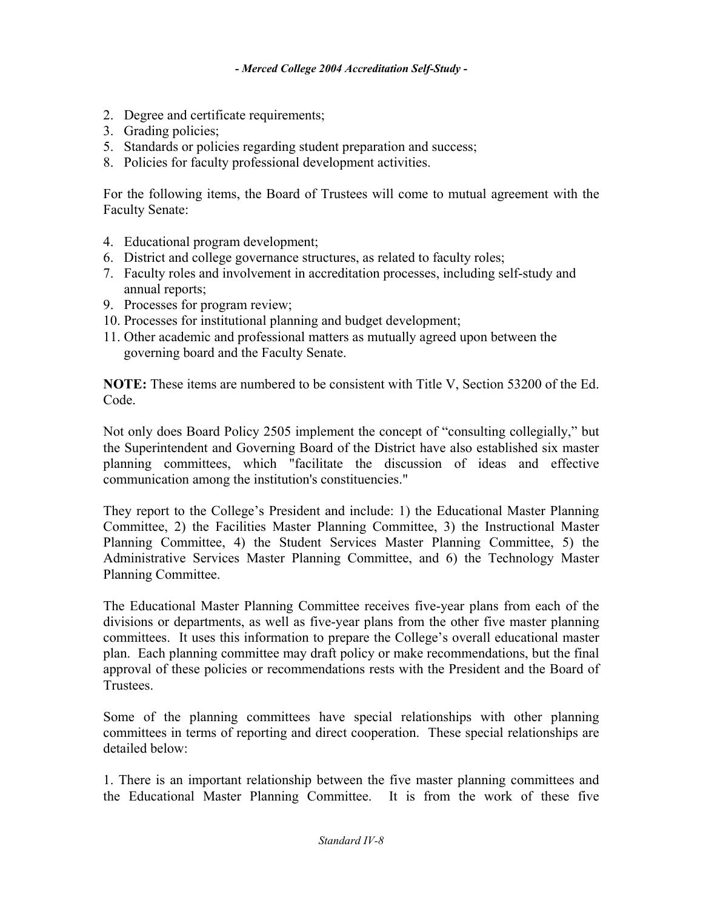- 2. Degree and certificate requirements;
- 3. Grading policies;
- 5. Standards or policies regarding student preparation and success;
- 8. Policies for faculty professional development activities.

For the following items, the Board of Trustees will come to mutual agreement with the Faculty Senate:

- 4. Educational program development;
- 6. District and college governance structures, as related to faculty roles;
- 7. Faculty roles and involvement in accreditation processes, including self-study and annual reports;
- 9. Processes for program review;
- 10. Processes for institutional planning and budget development;
- 11. Other academic and professional matters as mutually agreed upon between the governing board and the Faculty Senate.

**NOTE:** These items are numbered to be consistent with Title V, Section 53200 of the Ed. Code.

Not only does Board Policy 2505 implement the concept of "consulting collegially," but the Superintendent and Governing Board of the District have also established six master planning committees, which "facilitate the discussion of ideas and effective communication among the institution's constituencies."

They report to the College's President and include: 1) the Educational Master Planning Committee, 2) the Facilities Master Planning Committee, 3) the Instructional Master Planning Committee, 4) the Student Services Master Planning Committee, 5) the Administrative Services Master Planning Committee, and 6) the Technology Master Planning Committee.

The Educational Master Planning Committee receives five-year plans from each of the divisions or departments, as well as five-year plans from the other five master planning committees. It uses this information to prepare the College's overall educational master plan. Each planning committee may draft policy or make recommendations, but the final approval of these policies or recommendations rests with the President and the Board of **Trustees** 

Some of the planning committees have special relationships with other planning committees in terms of reporting and direct cooperation. These special relationships are detailed below:

1. There is an important relationship between the five master planning committees and the Educational Master Planning Committee. It is from the work of these five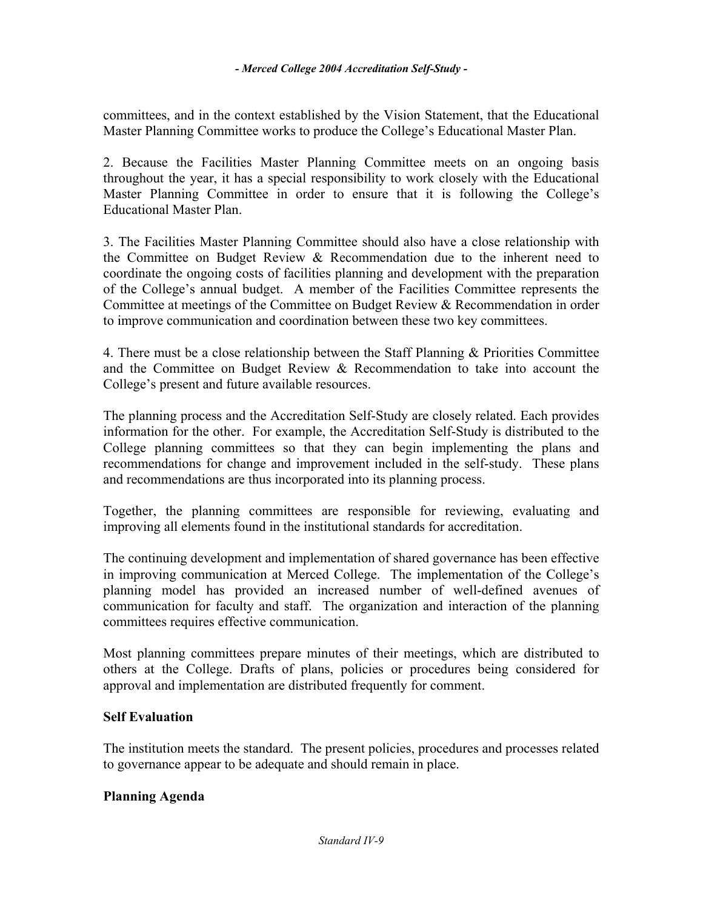committees, and in the context established by the Vision Statement, that the Educational Master Planning Committee works to produce the College's Educational Master Plan.

2. Because the Facilities Master Planning Committee meets on an ongoing basis throughout the year, it has a special responsibility to work closely with the Educational Master Planning Committee in order to ensure that it is following the College's Educational Master Plan.

3. The Facilities Master Planning Committee should also have a close relationship with the Committee on Budget Review & Recommendation due to the inherent need to coordinate the ongoing costs of facilities planning and development with the preparation of the College's annual budget. A member of the Facilities Committee represents the Committee at meetings of the Committee on Budget Review & Recommendation in order to improve communication and coordination between these two key committees.

4. There must be a close relationship between the Staff Planning & Priorities Committee and the Committee on Budget Review & Recommendation to take into account the College's present and future available resources.

The planning process and the Accreditation Self-Study are closely related. Each provides information for the other. For example, the Accreditation Self-Study is distributed to the College planning committees so that they can begin implementing the plans and recommendations for change and improvement included in the self-study. These plans and recommendations are thus incorporated into its planning process.

Together, the planning committees are responsible for reviewing, evaluating and improving all elements found in the institutional standards for accreditation.

The continuing development and implementation of shared governance has been effective in improving communication at Merced College. The implementation of the College's planning model has provided an increased number of well-defined avenues of communication for faculty and staff. The organization and interaction of the planning committees requires effective communication.

Most planning committees prepare minutes of their meetings, which are distributed to others at the College. Drafts of plans, policies or procedures being considered for approval and implementation are distributed frequently for comment.

### **Self Evaluation**

The institution meets the standard. The present policies, procedures and processes related to governance appear to be adequate and should remain in place.

### **Planning Agenda**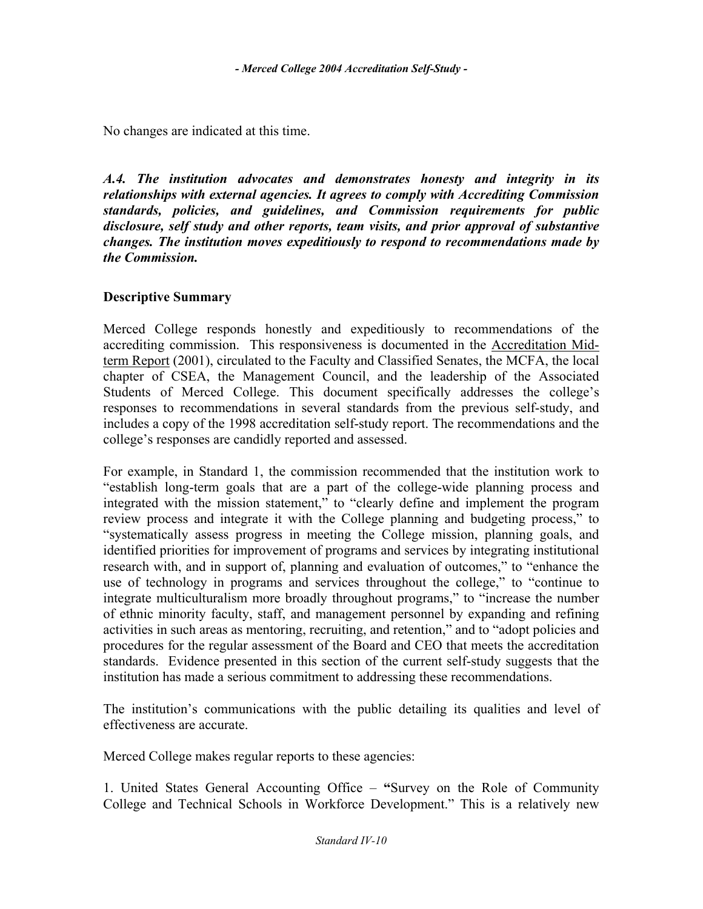No changes are indicated at this time.

*A.4. The institution advocates and demonstrates honesty and integrity in its relationships with external agencies. It agrees to comply with Accrediting Commission standards, policies, and guidelines, and Commission requirements for public disclosure, self study and other reports, team visits, and prior approval of substantive changes. The institution moves expeditiously to respond to recommendations made by the Commission.* 

### **Descriptive Summary**

Merced College responds honestly and expeditiously to recommendations of the accrediting commission. This responsiveness is documented in the Accreditation Midterm Report (2001), circulated to the Faculty and Classified Senates, the MCFA, the local chapter of CSEA, the Management Council, and the leadership of the Associated Students of Merced College. This document specifically addresses the college's responses to recommendations in several standards from the previous self-study, and includes a copy of the 1998 accreditation self-study report. The recommendations and the college's responses are candidly reported and assessed.

For example, in Standard 1, the commission recommended that the institution work to "establish long-term goals that are a part of the college-wide planning process and integrated with the mission statement," to "clearly define and implement the program review process and integrate it with the College planning and budgeting process," to "systematically assess progress in meeting the College mission, planning goals, and identified priorities for improvement of programs and services by integrating institutional research with, and in support of, planning and evaluation of outcomes," to "enhance the use of technology in programs and services throughout the college," to "continue to integrate multiculturalism more broadly throughout programs," to "increase the number of ethnic minority faculty, staff, and management personnel by expanding and refining activities in such areas as mentoring, recruiting, and retention," and to "adopt policies and procedures for the regular assessment of the Board and CEO that meets the accreditation standards. Evidence presented in this section of the current self-study suggests that the institution has made a serious commitment to addressing these recommendations.

The institution's communications with the public detailing its qualities and level of effectiveness are accurate.

Merced College makes regular reports to these agencies:

1. United States General Accounting Office – **"**Survey on the Role of Community College and Technical Schools in Workforce Development." This is a relatively new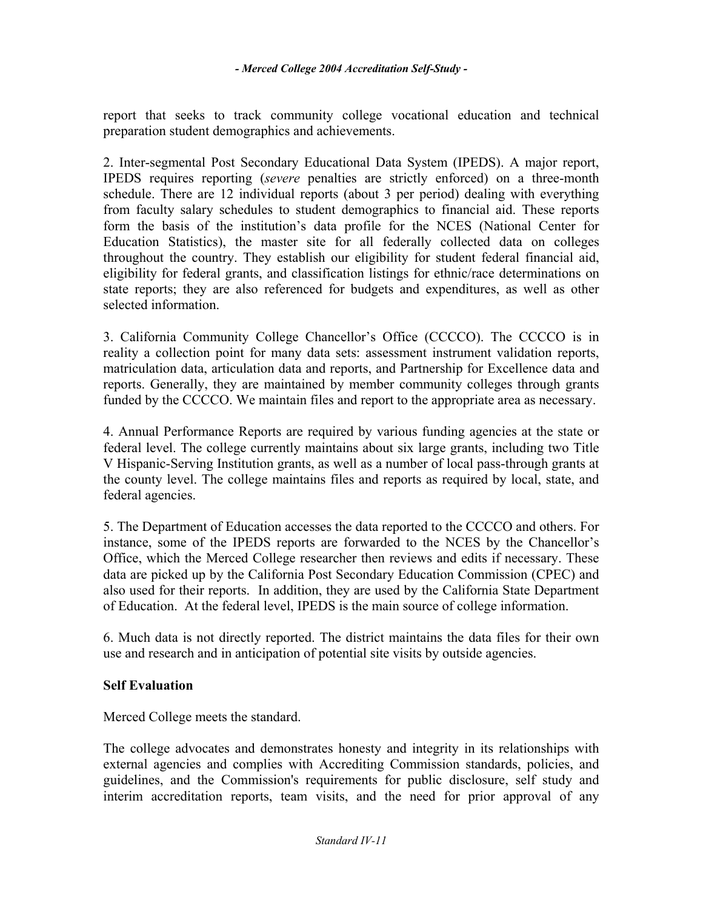report that seeks to track community college vocational education and technical preparation student demographics and achievements.

2. Inter-segmental Post Secondary Educational Data System (IPEDS). A major report, IPEDS requires reporting (*severe* penalties are strictly enforced) on a three-month schedule. There are 12 individual reports (about 3 per period) dealing with everything from faculty salary schedules to student demographics to financial aid. These reports form the basis of the institution's data profile for the NCES (National Center for Education Statistics), the master site for all federally collected data on colleges throughout the country. They establish our eligibility for student federal financial aid, eligibility for federal grants, and classification listings for ethnic/race determinations on state reports; they are also referenced for budgets and expenditures, as well as other selected information.

3. California Community College Chancellor's Office (CCCCO). The CCCCO is in reality a collection point for many data sets: assessment instrument validation reports, matriculation data, articulation data and reports, and Partnership for Excellence data and reports. Generally, they are maintained by member community colleges through grants funded by the CCCCO. We maintain files and report to the appropriate area as necessary.

4. Annual Performance Reports are required by various funding agencies at the state or federal level. The college currently maintains about six large grants, including two Title V Hispanic-Serving Institution grants, as well as a number of local pass-through grants at the county level. The college maintains files and reports as required by local, state, and federal agencies.

5. The Department of Education accesses the data reported to the CCCCO and others. For instance, some of the IPEDS reports are forwarded to the NCES by the Chancellor's Office, which the Merced College researcher then reviews and edits if necessary. These data are picked up by the California Post Secondary Education Commission (CPEC) and also used for their reports. In addition, they are used by the California State Department of Education. At the federal level, IPEDS is the main source of college information.

6. Much data is not directly reported. The district maintains the data files for their own use and research and in anticipation of potential site visits by outside agencies.

# **Self Evaluation**

Merced College meets the standard.

The college advocates and demonstrates honesty and integrity in its relationships with external agencies and complies with Accrediting Commission standards, policies, and guidelines, and the Commission's requirements for public disclosure, self study and interim accreditation reports, team visits, and the need for prior approval of any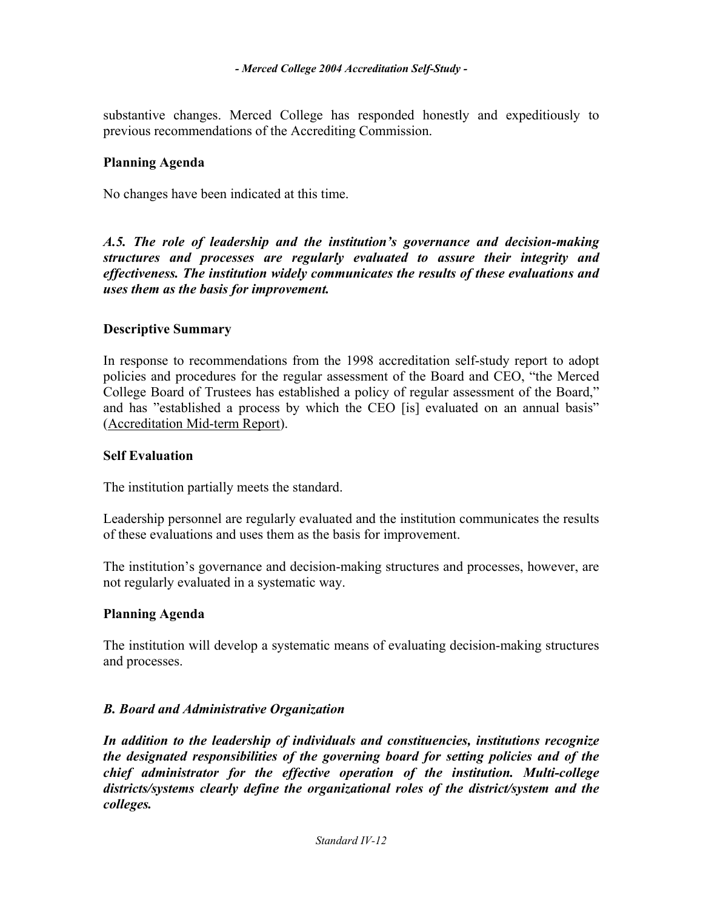substantive changes. Merced College has responded honestly and expeditiously to previous recommendations of the Accrediting Commission.

#### **Planning Agenda**

No changes have been indicated at this time.

*A.5. The role of leadership and the institution's governance and decision-making structures and processes are regularly evaluated to assure their integrity and effectiveness. The institution widely communicates the results of these evaluations and uses them as the basis for improvement.* 

#### **Descriptive Summary**

In response to recommendations from the 1998 accreditation self-study report to adopt policies and procedures for the regular assessment of the Board and CEO, "the Merced College Board of Trustees has established a policy of regular assessment of the Board," and has "established a process by which the CEO [is] evaluated on an annual basis" (Accreditation Mid-term Report).

#### **Self Evaluation**

The institution partially meets the standard.

Leadership personnel are regularly evaluated and the institution communicates the results of these evaluations and uses them as the basis for improvement.

The institution's governance and decision-making structures and processes, however, are not regularly evaluated in a systematic way.

#### **Planning Agenda**

The institution will develop a systematic means of evaluating decision-making structures and processes.

### *B. Board and Administrative Organization*

*In addition to the leadership of individuals and constituencies, institutions recognize the designated responsibilities of the governing board for setting policies and of the chief administrator for the effective operation of the institution. Multi-college districts/systems clearly define the organizational roles of the district/system and the colleges.*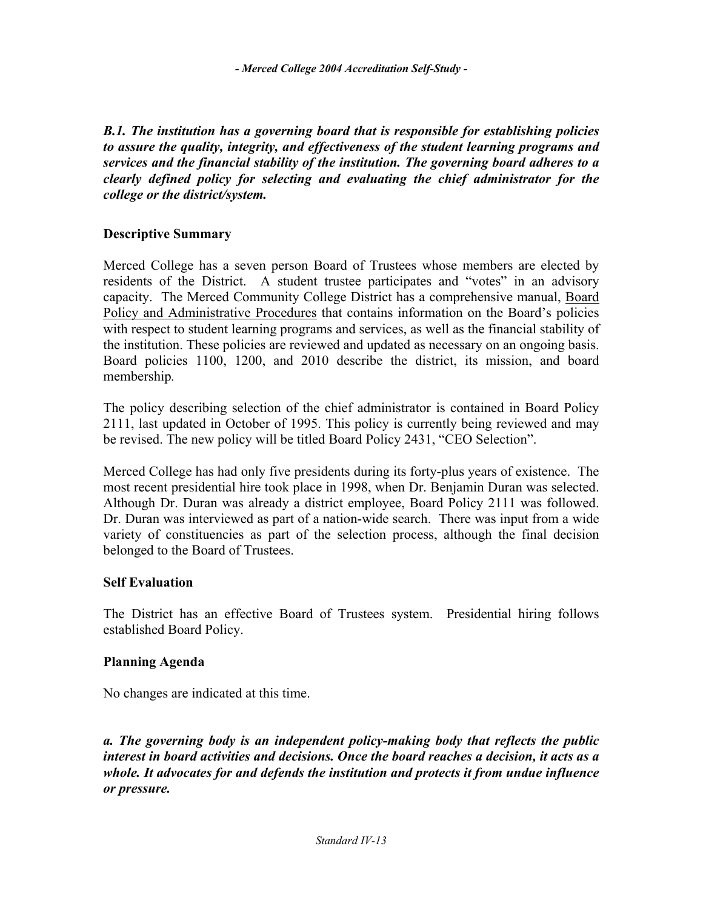*B.1. The institution has a governing board that is responsible for establishing policies to assure the quality, integrity, and effectiveness of the student learning programs and services and the financial stability of the institution. The governing board adheres to a clearly defined policy for selecting and evaluating the chief administrator for the college or the district/system.* 

### **Descriptive Summary**

Merced College has a seven person Board of Trustees whose members are elected by residents of the District. A student trustee participates and "votes" in an advisory capacity. The Merced Community College District has a comprehensive manual, Board Policy and Administrative Procedures that contains information on the Board's policies with respect to student learning programs and services, as well as the financial stability of the institution. These policies are reviewed and updated as necessary on an ongoing basis. Board policies 1100, 1200, and 2010 describe the district, its mission, and board membership*.* 

The policy describing selection of the chief administrator is contained in Board Policy 2111, last updated in October of 1995. This policy is currently being reviewed and may be revised. The new policy will be titled Board Policy 2431, "CEO Selection".

Merced College has had only five presidents during its forty-plus years of existence. The most recent presidential hire took place in 1998, when Dr. Benjamin Duran was selected. Although Dr. Duran was already a district employee, Board Policy 2111 was followed. Dr. Duran was interviewed as part of a nation-wide search. There was input from a wide variety of constituencies as part of the selection process, although the final decision belonged to the Board of Trustees.

### **Self Evaluation**

The District has an effective Board of Trustees system. Presidential hiring follows established Board Policy.

### **Planning Agenda**

No changes are indicated at this time.

*a. The governing body is an independent policy-making body that reflects the public interest in board activities and decisions. Once the board reaches a decision, it acts as a whole. It advocates for and defends the institution and protects it from undue influence or pressure.*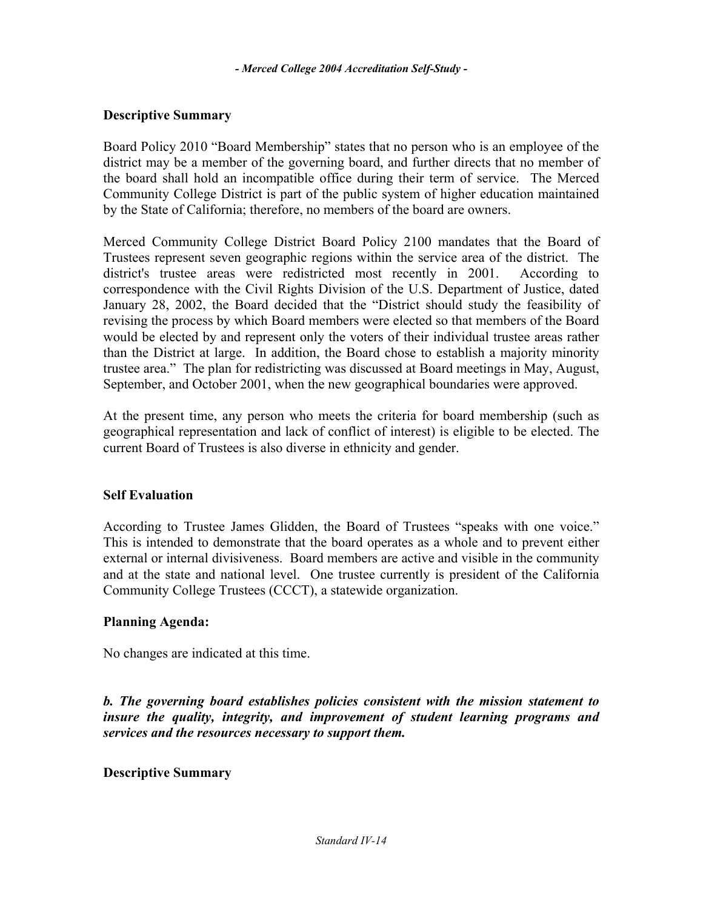### **Descriptive Summary**

Board Policy 2010 "Board Membership" states that no person who is an employee of the district may be a member of the governing board, and further directs that no member of the board shall hold an incompatible office during their term of service. The Merced Community College District is part of the public system of higher education maintained by the State of California; therefore, no members of the board are owners.

Merced Community College District Board Policy 2100 mandates that the Board of Trustees represent seven geographic regions within the service area of the district. The district's trustee areas were redistricted most recently in 2001. According to correspondence with the Civil Rights Division of the U.S. Department of Justice, dated January 28, 2002, the Board decided that the "District should study the feasibility of revising the process by which Board members were elected so that members of the Board would be elected by and represent only the voters of their individual trustee areas rather than the District at large. In addition, the Board chose to establish a majority minority trustee area." The plan for redistricting was discussed at Board meetings in May, August, September, and October 2001, when the new geographical boundaries were approved.

At the present time, any person who meets the criteria for board membership (such as geographical representation and lack of conflict of interest) is eligible to be elected. The current Board of Trustees is also diverse in ethnicity and gender.

### **Self Evaluation**

According to Trustee James Glidden, the Board of Trustees "speaks with one voice." This is intended to demonstrate that the board operates as a whole and to prevent either external or internal divisiveness. Board members are active and visible in the community and at the state and national level. One trustee currently is president of the California Community College Trustees (CCCT), a statewide organization.

### **Planning Agenda:**

No changes are indicated at this time.

*b. The governing board establishes policies consistent with the mission statement to insure the quality, integrity, and improvement of student learning programs and services and the resources necessary to support them.* 

### **Descriptive Summary**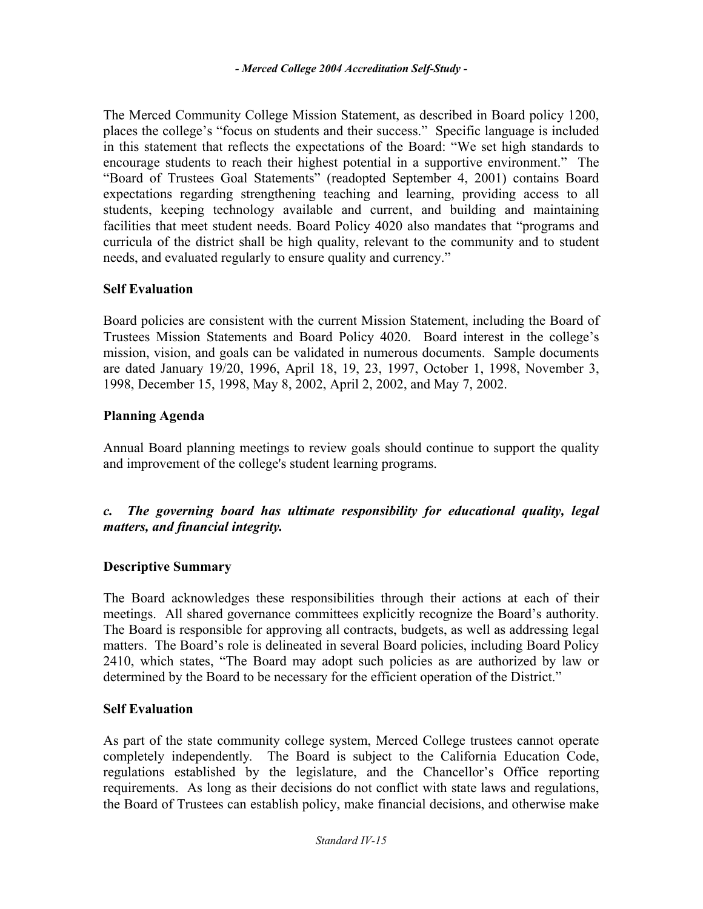The Merced Community College Mission Statement, as described in Board policy 1200, places the college's "focus on students and their success." Specific language is included in this statement that reflects the expectations of the Board: "We set high standards to encourage students to reach their highest potential in a supportive environment." The "Board of Trustees Goal Statements" (readopted September 4, 2001) contains Board expectations regarding strengthening teaching and learning, providing access to all students, keeping technology available and current, and building and maintaining facilities that meet student needs. Board Policy 4020 also mandates that "programs and curricula of the district shall be high quality, relevant to the community and to student needs, and evaluated regularly to ensure quality and currency."

#### **Self Evaluation**

Board policies are consistent with the current Mission Statement, including the Board of Trustees Mission Statements and Board Policy 4020. Board interest in the college's mission, vision, and goals can be validated in numerous documents. Sample documents are dated January 19/20, 1996, April 18, 19, 23, 1997, October 1, 1998, November 3, 1998, December 15, 1998, May 8, 2002, April 2, 2002, and May 7, 2002.

### **Planning Agenda**

Annual Board planning meetings to review goals should continue to support the quality and improvement of the college's student learning programs.

### *c. The governing board has ultimate responsibility for educational quality, legal matters, and financial integrity.*

### **Descriptive Summary**

The Board acknowledges these responsibilities through their actions at each of their meetings. All shared governance committees explicitly recognize the Board's authority. The Board is responsible for approving all contracts, budgets, as well as addressing legal matters. The Board's role is delineated in several Board policies, including Board Policy 2410, which states, "The Board may adopt such policies as are authorized by law or determined by the Board to be necessary for the efficient operation of the District."

#### **Self Evaluation**

As part of the state community college system, Merced College trustees cannot operate completely independently*.* The Board is subject to the California Education Code, regulations established by the legislature, and the Chancellor's Office reporting requirements. As long as their decisions do not conflict with state laws and regulations, the Board of Trustees can establish policy, make financial decisions, and otherwise make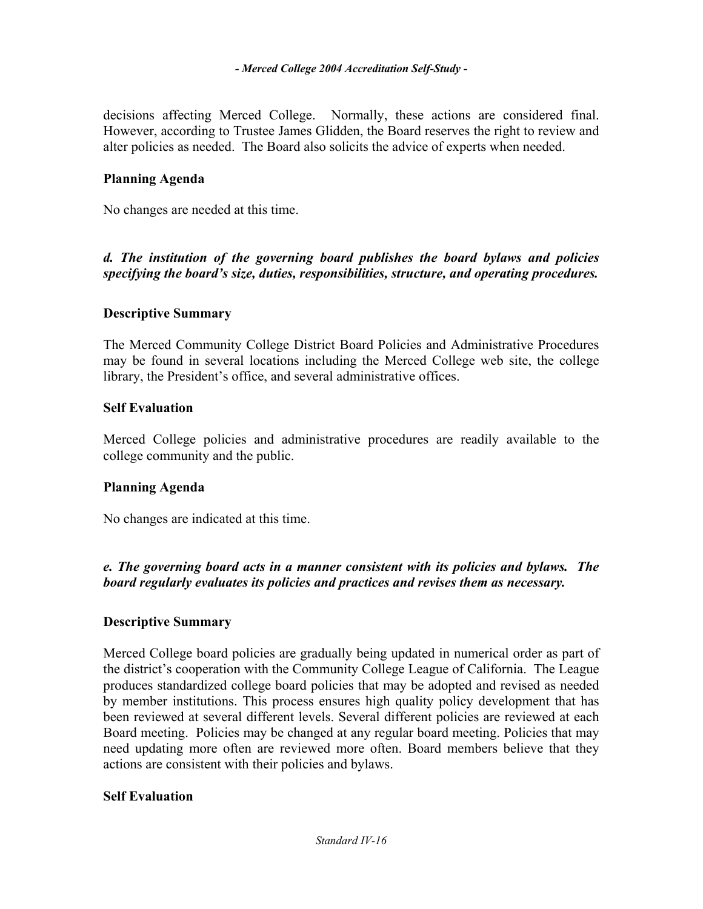decisions affecting Merced College. Normally, these actions are considered final. However, according to Trustee James Glidden, the Board reserves the right to review and alter policies as needed. The Board also solicits the advice of experts when needed.

### **Planning Agenda**

No changes are needed at this time.

*d. The institution of the governing board publishes the board bylaws and policies specifying the board's size, duties, responsibilities, structure, and operating procedures.* 

#### **Descriptive Summary**

The Merced Community College District Board Policies and Administrative Procedures may be found in several locations including the Merced College web site, the college library, the President's office, and several administrative offices.

#### **Self Evaluation**

Merced College policies and administrative procedures are readily available to the college community and the public.

### **Planning Agenda**

No changes are indicated at this time.

*e. The governing board acts in a manner consistent with its policies and bylaws. The board regularly evaluates its policies and practices and revises them as necessary.* 

### **Descriptive Summary**

Merced College board policies are gradually being updated in numerical order as part of the district's cooperation with the Community College League of California. The League produces standardized college board policies that may be adopted and revised as needed by member institutions. This process ensures high quality policy development that has been reviewed at several different levels. Several different policies are reviewed at each Board meeting. Policies may be changed at any regular board meeting. Policies that may need updating more often are reviewed more often. Board members believe that they actions are consistent with their policies and bylaws.

### **Self Evaluation**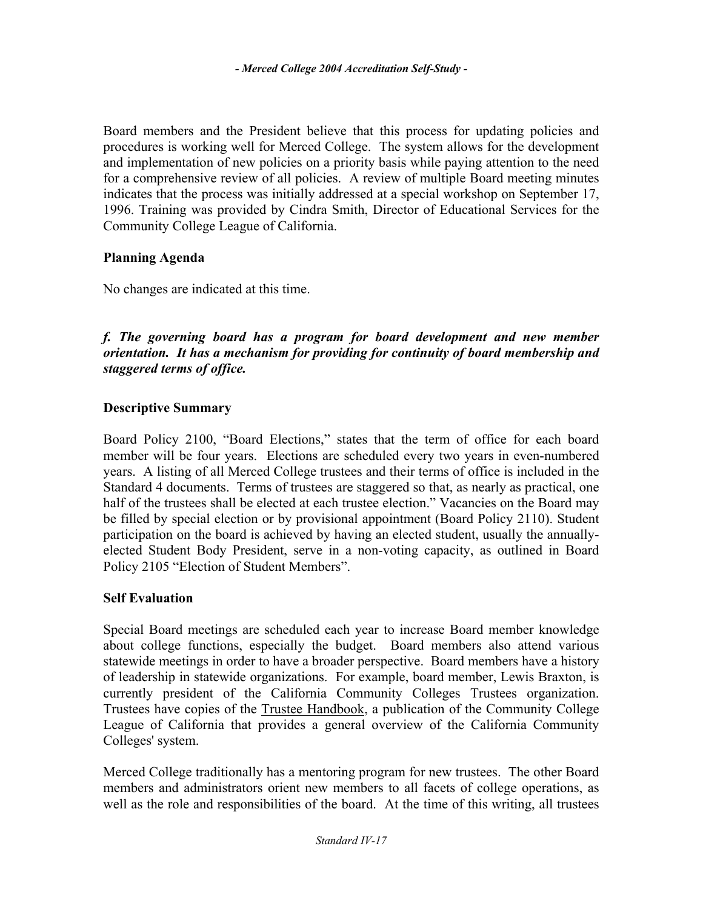Board members and the President believe that this process for updating policies and procedures is working well for Merced College. The system allows for the development and implementation of new policies on a priority basis while paying attention to the need for a comprehensive review of all policies. A review of multiple Board meeting minutes indicates that the process was initially addressed at a special workshop on September 17, 1996. Training was provided by Cindra Smith, Director of Educational Services for the Community College League of California.

# **Planning Agenda**

No changes are indicated at this time.

### *f. The governing board has a program for board development and new member orientation. It has a mechanism for providing for continuity of board membership and staggered terms of office.*

### **Descriptive Summary**

Board Policy 2100, "Board Elections," states that the term of office for each board member will be four years. Elections are scheduled every two years in even-numbered years. A listing of all Merced College trustees and their terms of office is included in the Standard 4 documents. Terms of trustees are staggered so that, as nearly as practical, one half of the trustees shall be elected at each trustee election." Vacancies on the Board may be filled by special election or by provisional appointment (Board Policy 2110). Student participation on the board is achieved by having an elected student, usually the annuallyelected Student Body President, serve in a non-voting capacity, as outlined in Board Policy 2105 "Election of Student Members".

### **Self Evaluation**

Special Board meetings are scheduled each year to increase Board member knowledge about college functions, especially the budget. Board members also attend various statewide meetings in order to have a broader perspective. Board members have a history of leadership in statewide organizations. For example, board member, Lewis Braxton, is currently president of the California Community Colleges Trustees organization. Trustees have copies of the Trustee Handbook, a publication of the Community College League of California that provides a general overview of the California Community Colleges' system.

Merced College traditionally has a mentoring program for new trustees. The other Board members and administrators orient new members to all facets of college operations, as well as the role and responsibilities of the board. At the time of this writing, all trustees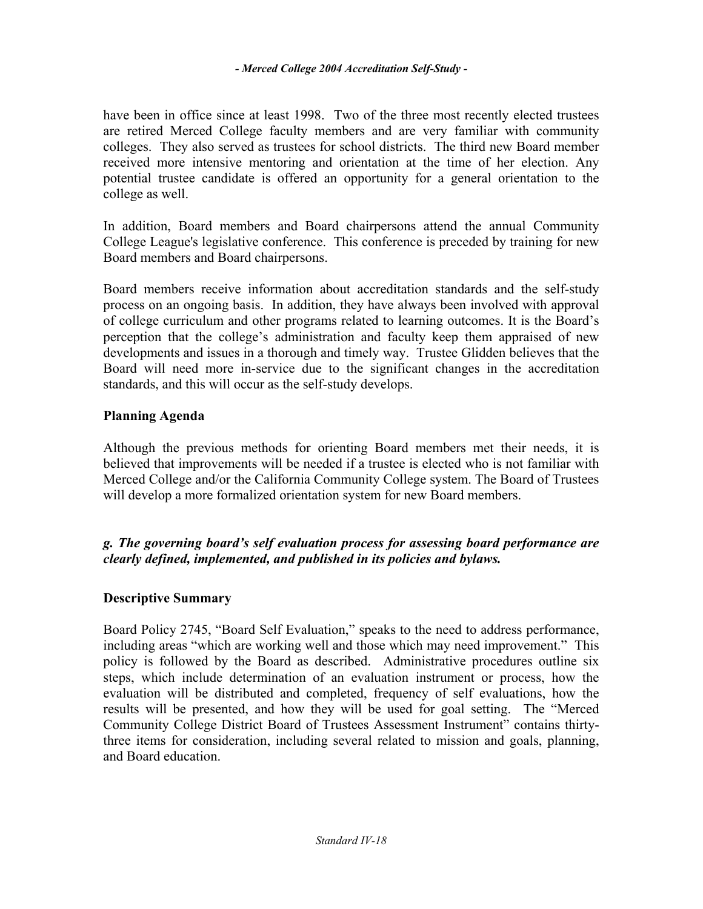have been in office since at least 1998. Two of the three most recently elected trustees are retired Merced College faculty members and are very familiar with community colleges. They also served as trustees for school districts. The third new Board member received more intensive mentoring and orientation at the time of her election. Any potential trustee candidate is offered an opportunity for a general orientation to the college as well.

In addition, Board members and Board chairpersons attend the annual Community College League's legislative conference. This conference is preceded by training for new Board members and Board chairpersons.

Board members receive information about accreditation standards and the self-study process on an ongoing basis. In addition, they have always been involved with approval of college curriculum and other programs related to learning outcomes. It is the Board's perception that the college's administration and faculty keep them appraised of new developments and issues in a thorough and timely way. Trustee Glidden believes that the Board will need more in-service due to the significant changes in the accreditation standards, and this will occur as the self-study develops.

### **Planning Agenda**

Although the previous methods for orienting Board members met their needs, it is believed that improvements will be needed if a trustee is elected who is not familiar with Merced College and/or the California Community College system. The Board of Trustees will develop a more formalized orientation system for new Board members.

### *g. The governing board's self evaluation process for assessing board performance are clearly defined, implemented, and published in its policies and bylaws.*

### **Descriptive Summary**

Board Policy 2745, "Board Self Evaluation," speaks to the need to address performance, including areas "which are working well and those which may need improvement." This policy is followed by the Board as described. Administrative procedures outline six steps, which include determination of an evaluation instrument or process, how the evaluation will be distributed and completed, frequency of self evaluations, how the results will be presented, and how they will be used for goal setting. The "Merced Community College District Board of Trustees Assessment Instrument" contains thirtythree items for consideration, including several related to mission and goals, planning, and Board education.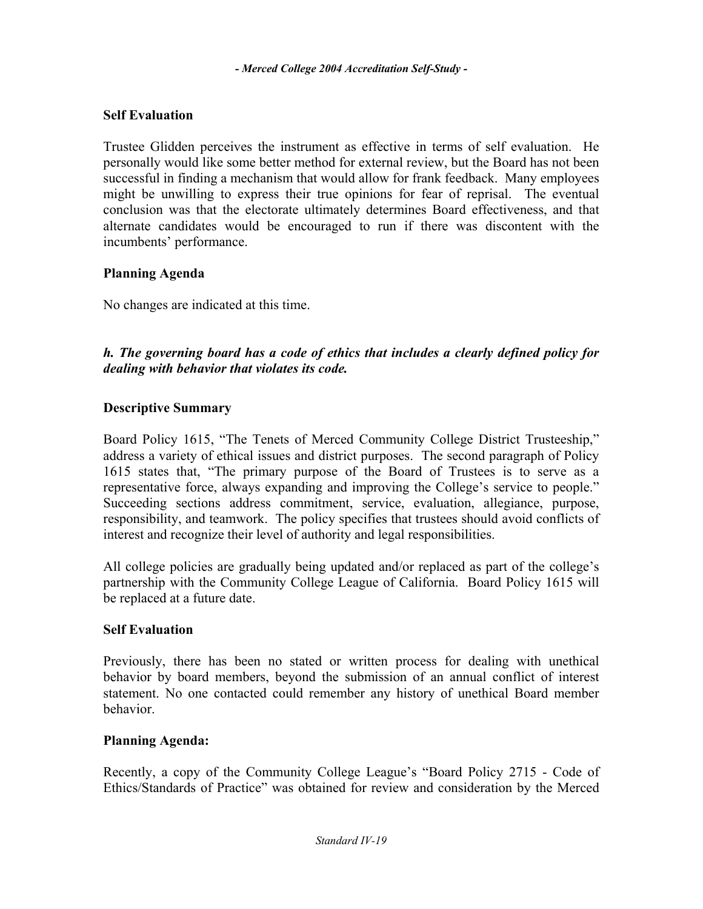# **Self Evaluation**

Trustee Glidden perceives the instrument as effective in terms of self evaluation. He personally would like some better method for external review, but the Board has not been successful in finding a mechanism that would allow for frank feedback. Many employees might be unwilling to express their true opinions for fear of reprisal. The eventual conclusion was that the electorate ultimately determines Board effectiveness, and that alternate candidates would be encouraged to run if there was discontent with the incumbents' performance.

### **Planning Agenda**

No changes are indicated at this time.

*h. The governing board has a code of ethics that includes a clearly defined policy for dealing with behavior that violates its code.* 

### **Descriptive Summary**

Board Policy 1615, "The Tenets of Merced Community College District Trusteeship," address a variety of ethical issues and district purposes. The second paragraph of Policy 1615 states that, "The primary purpose of the Board of Trustees is to serve as a representative force, always expanding and improving the College's service to people." Succeeding sections address commitment, service, evaluation, allegiance, purpose, responsibility, and teamwork. The policy specifies that trustees should avoid conflicts of interest and recognize their level of authority and legal responsibilities.

All college policies are gradually being updated and/or replaced as part of the college's partnership with the Community College League of California. Board Policy 1615 will be replaced at a future date.

### **Self Evaluation**

Previously, there has been no stated or written process for dealing with unethical behavior by board members, beyond the submission of an annual conflict of interest statement. No one contacted could remember any history of unethical Board member behavior.

### **Planning Agenda:**

Recently, a copy of the Community College League's "Board Policy 2715 - Code of Ethics/Standards of Practice" was obtained for review and consideration by the Merced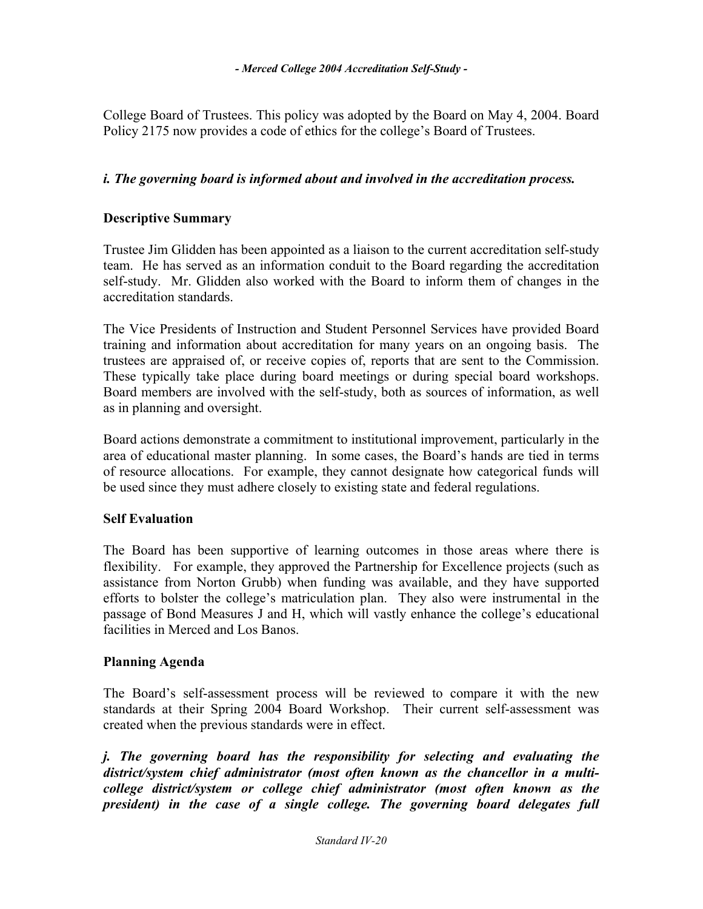College Board of Trustees. This policy was adopted by the Board on May 4, 2004. Board Policy 2175 now provides a code of ethics for the college's Board of Trustees.

### *i. The governing board is informed about and involved in the accreditation process.*

### **Descriptive Summary**

Trustee Jim Glidden has been appointed as a liaison to the current accreditation self-study team. He has served as an information conduit to the Board regarding the accreditation self-study. Mr. Glidden also worked with the Board to inform them of changes in the accreditation standards.

The Vice Presidents of Instruction and Student Personnel Services have provided Board training and information about accreditation for many years on an ongoing basis. The trustees are appraised of, or receive copies of, reports that are sent to the Commission. These typically take place during board meetings or during special board workshops. Board members are involved with the self-study, both as sources of information, as well as in planning and oversight.

Board actions demonstrate a commitment to institutional improvement, particularly in the area of educational master planning. In some cases, the Board's hands are tied in terms of resource allocations. For example, they cannot designate how categorical funds will be used since they must adhere closely to existing state and federal regulations.

### **Self Evaluation**

The Board has been supportive of learning outcomes in those areas where there is flexibility. For example, they approved the Partnership for Excellence projects (such as assistance from Norton Grubb) when funding was available, and they have supported efforts to bolster the college's matriculation plan. They also were instrumental in the passage of Bond Measures J and H, which will vastly enhance the college's educational facilities in Merced and Los Banos.

### **Planning Agenda**

The Board's self-assessment process will be reviewed to compare it with the new standards at their Spring 2004 Board Workshop. Their current self-assessment was created when the previous standards were in effect.

*j. The governing board has the responsibility for selecting and evaluating the district/system chief administrator (most often known as the chancellor in a multicollege district/system or college chief administrator (most often known as the president) in the case of a single college. The governing board delegates full*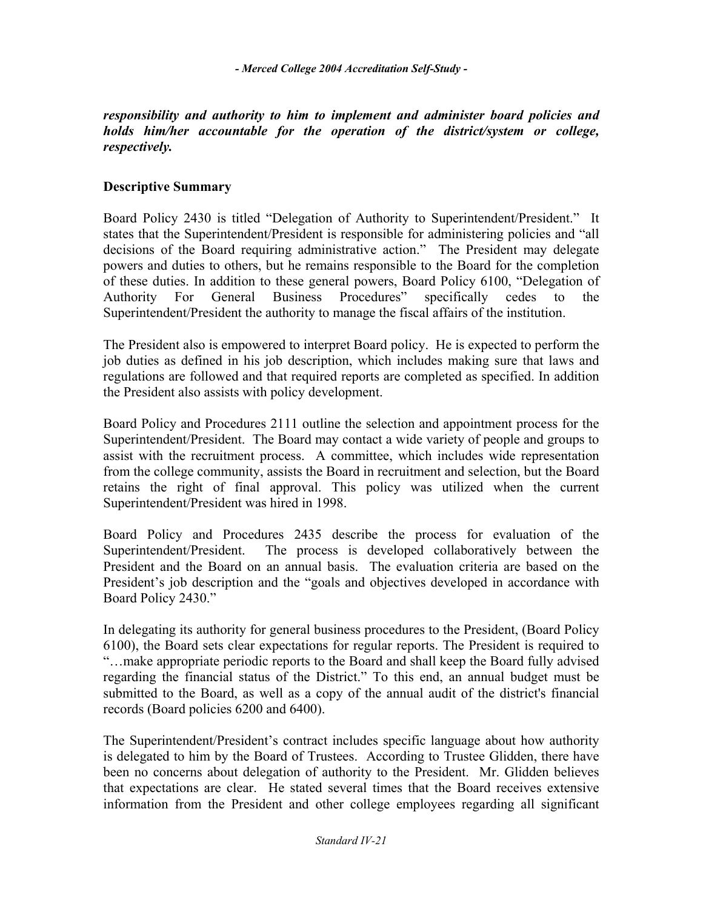### *responsibility and authority to him to implement and administer board policies and holds him/her accountable for the operation of the district/system or college, respectively.*

# **Descriptive Summary**

Board Policy 2430 is titled "Delegation of Authority to Superintendent/President." It states that the Superintendent/President is responsible for administering policies and "all decisions of the Board requiring administrative action." The President may delegate powers and duties to others, but he remains responsible to the Board for the completion of these duties. In addition to these general powers, Board Policy 6100, "Delegation of Authority For General Business Procedures" specifically cedes to the Superintendent/President the authority to manage the fiscal affairs of the institution.

The President also is empowered to interpret Board policy. He is expected to perform the job duties as defined in his job description, which includes making sure that laws and regulations are followed and that required reports are completed as specified. In addition the President also assists with policy development.

Board Policy and Procedures 2111 outline the selection and appointment process for the Superintendent/President. The Board may contact a wide variety of people and groups to assist with the recruitment process. A committee, which includes wide representation from the college community, assists the Board in recruitment and selection, but the Board retains the right of final approval. This policy was utilized when the current Superintendent/President was hired in 1998.

Board Policy and Procedures 2435 describe the process for evaluation of the Superintendent/President. The process is developed collaboratively between the President and the Board on an annual basis. The evaluation criteria are based on the President's job description and the "goals and objectives developed in accordance with Board Policy 2430."

In delegating its authority for general business procedures to the President, (Board Policy 6100), the Board sets clear expectations for regular reports. The President is required to "…make appropriate periodic reports to the Board and shall keep the Board fully advised regarding the financial status of the District." To this end, an annual budget must be submitted to the Board, as well as a copy of the annual audit of the district's financial records (Board policies 6200 and 6400).

The Superintendent/President's contract includes specific language about how authority is delegated to him by the Board of Trustees. According to Trustee Glidden, there have been no concerns about delegation of authority to the President. Mr. Glidden believes that expectations are clear. He stated several times that the Board receives extensive information from the President and other college employees regarding all significant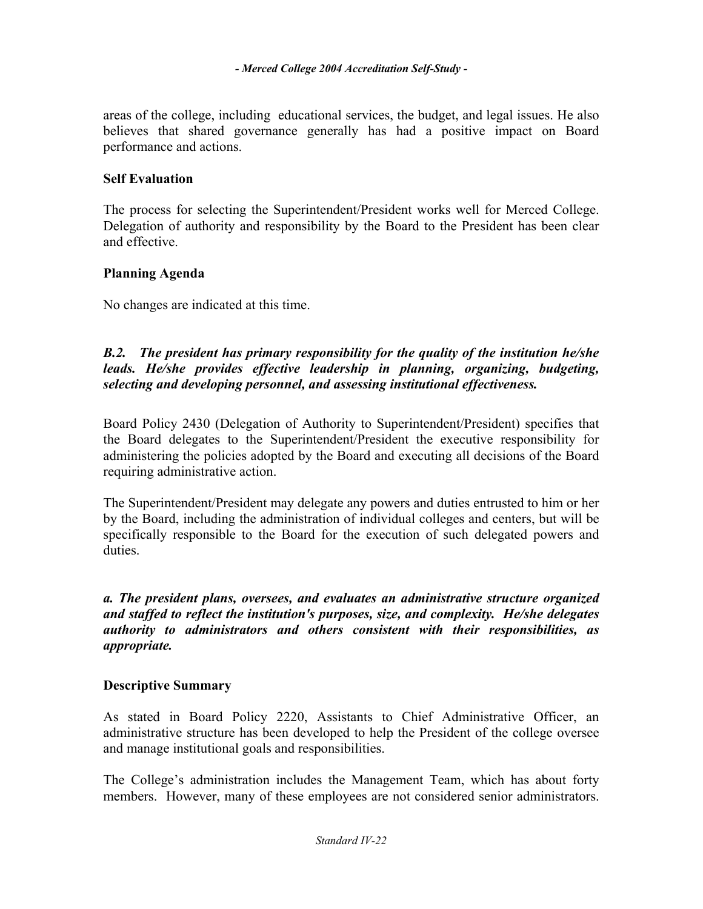areas of the college, including educational services, the budget, and legal issues. He also believes that shared governance generally has had a positive impact on Board performance and actions.

### **Self Evaluation**

The process for selecting the Superintendent/President works well for Merced College. Delegation of authority and responsibility by the Board to the President has been clear and effective.

### **Planning Agenda**

No changes are indicated at this time.

### *B.2. The president has primary responsibility for the quality of the institution he/she leads. He/she provides effective leadership in planning, organizing, budgeting, selecting and developing personnel, and assessing institutional effectiveness.*

Board Policy 2430 (Delegation of Authority to Superintendent/President) specifies that the Board delegates to the Superintendent/President the executive responsibility for administering the policies adopted by the Board and executing all decisions of the Board requiring administrative action.

The Superintendent/President may delegate any powers and duties entrusted to him or her by the Board, including the administration of individual colleges and centers, but will be specifically responsible to the Board for the execution of such delegated powers and duties.

*a. The president plans, oversees, and evaluates an administrative structure organized and staffed to reflect the institution's purposes, size, and complexity. He/she delegates authority to administrators and others consistent with their responsibilities, as appropriate.* 

### **Descriptive Summary**

As stated in Board Policy 2220, Assistants to Chief Administrative Officer, an administrative structure has been developed to help the President of the college oversee and manage institutional goals and responsibilities.

The College's administration includes the Management Team, which has about forty members. However, many of these employees are not considered senior administrators.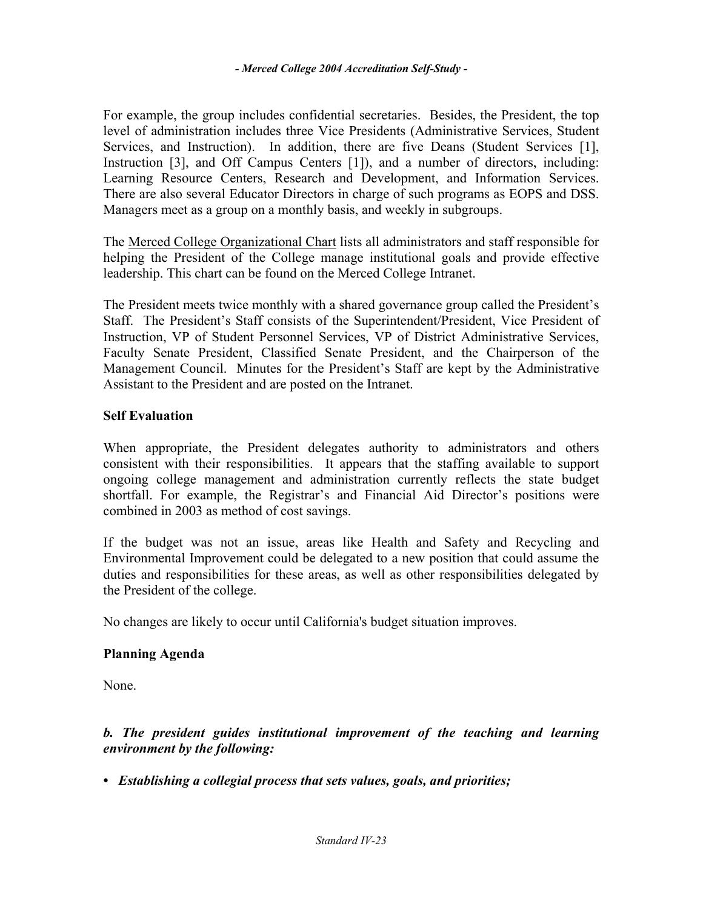For example, the group includes confidential secretaries. Besides, the President, the top level of administration includes three Vice Presidents (Administrative Services, Student Services, and Instruction). In addition, there are five Deans (Student Services [1], Instruction [3], and Off Campus Centers [1]), and a number of directors, including: Learning Resource Centers, Research and Development, and Information Services. There are also several Educator Directors in charge of such programs as EOPS and DSS. Managers meet as a group on a monthly basis, and weekly in subgroups.

The Merced College Organizational Chart lists all administrators and staff responsible for helping the President of the College manage institutional goals and provide effective leadership. This chart can be found on the Merced College Intranet.

The President meets twice monthly with a shared governance group called the President's Staff. The President's Staff consists of the Superintendent/President, Vice President of Instruction, VP of Student Personnel Services, VP of District Administrative Services, Faculty Senate President, Classified Senate President, and the Chairperson of the Management Council. Minutes for the President's Staff are kept by the Administrative Assistant to the President and are posted on the Intranet.

### **Self Evaluation**

When appropriate, the President delegates authority to administrators and others consistent with their responsibilities. It appears that the staffing available to support ongoing college management and administration currently reflects the state budget shortfall. For example, the Registrar's and Financial Aid Director's positions were combined in 2003 as method of cost savings.

If the budget was not an issue, areas like Health and Safety and Recycling and Environmental Improvement could be delegated to a new position that could assume the duties and responsibilities for these areas, as well as other responsibilities delegated by the President of the college.

No changes are likely to occur until California's budget situation improves.

### **Planning Agenda**

None.

*b. The president guides institutional improvement of the teaching and learning environment by the following:* 

*• Establishing a collegial process that sets values, goals, and priorities;*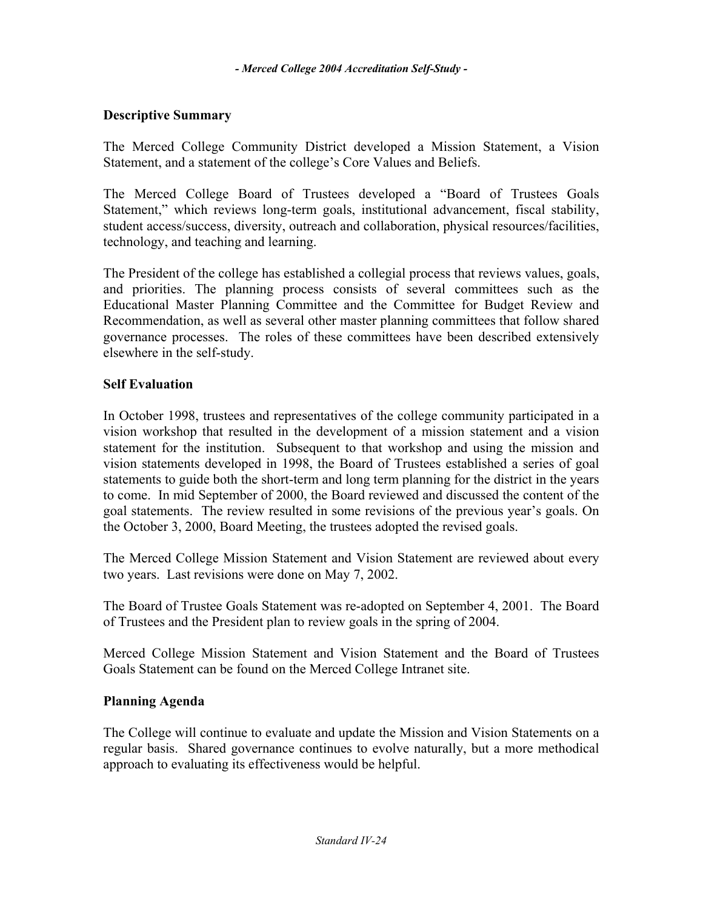### **Descriptive Summary**

The Merced College Community District developed a Mission Statement, a Vision Statement, and a statement of the college's Core Values and Beliefs.

The Merced College Board of Trustees developed a "Board of Trustees Goals Statement," which reviews long-term goals, institutional advancement, fiscal stability, student access/success, diversity, outreach and collaboration, physical resources/facilities, technology, and teaching and learning.

The President of the college has established a collegial process that reviews values, goals, and priorities. The planning process consists of several committees such as the Educational Master Planning Committee and the Committee for Budget Review and Recommendation, as well as several other master planning committees that follow shared governance processes. The roles of these committees have been described extensively elsewhere in the self-study.

### **Self Evaluation**

In October 1998, trustees and representatives of the college community participated in a vision workshop that resulted in the development of a mission statement and a vision statement for the institution. Subsequent to that workshop and using the mission and vision statements developed in 1998, the Board of Trustees established a series of goal statements to guide both the short-term and long term planning for the district in the years to come. In mid September of 2000, the Board reviewed and discussed the content of the goal statements. The review resulted in some revisions of the previous year's goals. On the October 3, 2000, Board Meeting, the trustees adopted the revised goals.

The Merced College Mission Statement and Vision Statement are reviewed about every two years. Last revisions were done on May 7, 2002.

The Board of Trustee Goals Statement was re-adopted on September 4, 2001. The Board of Trustees and the President plan to review goals in the spring of 2004.

Merced College Mission Statement and Vision Statement and the Board of Trustees Goals Statement can be found on the Merced College Intranet site.

### **Planning Agenda**

The College will continue to evaluate and update the Mission and Vision Statements on a regular basis. Shared governance continues to evolve naturally, but a more methodical approach to evaluating its effectiveness would be helpful.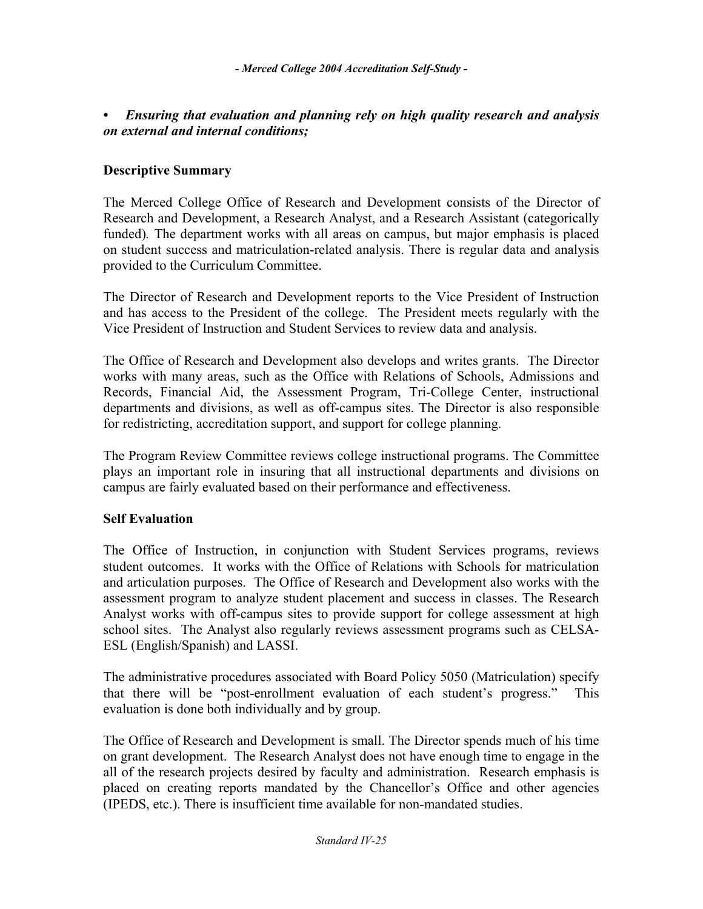### *• Ensuring that evaluation and planning rely on high quality research and analysis on external and internal conditions;*

#### **Descriptive Summary**

The Merced College Office of Research and Development consists of the Director of Research and Development, a Research Analyst, and a Research Assistant (categorically funded)*.* The department works with all areas on campus, but major emphasis is placed on student success and matriculation-related analysis. There is regular data and analysis provided to the Curriculum Committee.

The Director of Research and Development reports to the Vice President of Instruction and has access to the President of the college. The President meets regularly with the Vice President of Instruction and Student Services to review data and analysis.

The Office of Research and Development also develops and writes grants. The Director works with many areas, such as the Office with Relations of Schools, Admissions and Records, Financial Aid, the Assessment Program, Tri-College Center, instructional departments and divisions, as well as off-campus sites. The Director is also responsible for redistricting, accreditation support, and support for college planning.

The Program Review Committee reviews college instructional programs. The Committee plays an important role in insuring that all instructional departments and divisions on campus are fairly evaluated based on their performance and effectiveness.

#### **Self Evaluation**

The Office of Instruction, in conjunction with Student Services programs, reviews student outcomes. It works with the Office of Relations with Schools for matriculation and articulation purposes. The Office of Research and Development also works with the assessment program to analyze student placement and success in classes. The Research Analyst works with off-campus sites to provide support for college assessment at high school sites. The Analyst also regularly reviews assessment programs such as CELSA-ESL (English/Spanish) and LASSI.

The administrative procedures associated with Board Policy 5050 (Matriculation) specify that there will be "post-enrollment evaluation of each student's progress." This evaluation is done both individually and by group.

The Office of Research and Development is small. The Director spends much of his time on grant development. The Research Analyst does not have enough time to engage in the all of the research projects desired by faculty and administration. Research emphasis is placed on creating reports mandated by the Chancellor's Office and other agencies (IPEDS, etc.). There is insufficient time available for non-mandated studies.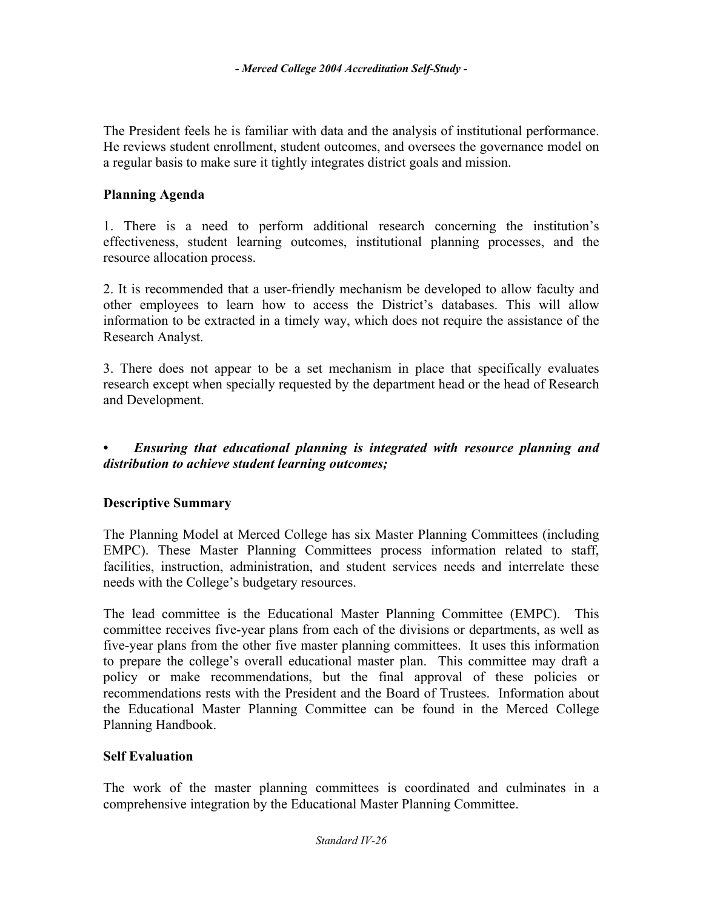The President feels he is familiar with data and the analysis of institutional performance. He reviews student enrollment, student outcomes, and oversees the governance model on a regular basis to make sure it tightly integrates district goals and mission.

#### **Planning Agenda**

1. There is a need to perform additional research concerning the institution's effectiveness, student learning outcomes, institutional planning processes, and the resource allocation process.

2. It is recommended that a user-friendly mechanism be developed to allow faculty and other employees to learn how to access the District's databases. This will allow information to be extracted in a timely way, which does not require the assistance of the Research Analyst.

3. There does not appear to be a set mechanism in place that specifically evaluates research except when specially requested by the department head or the head of Research and Development.

### *• Ensuring that educational planning is integrated with resource planning and distribution to achieve student learning outcomes;*

### **Descriptive Summary**

The Planning Model at Merced College has six Master Planning Committees (including EMPC). These Master Planning Committees process information related to staff, facilities, instruction, administration, and student services needs and interrelate these needs with the College's budgetary resources.

The lead committee is the Educational Master Planning Committee (EMPC). This committee receives five-year plans from each of the divisions or departments, as well as five-year plans from the other five master planning committees. It uses this information to prepare the college's overall educational master plan. This committee may draft a policy or make recommendations, but the final approval of these policies or recommendations rests with the President and the Board of Trustees. Information about the Educational Master Planning Committee can be found in the Merced College Planning Handbook.

#### **Self Evaluation**

The work of the master planning committees is coordinated and culminates in a comprehensive integration by the Educational Master Planning Committee.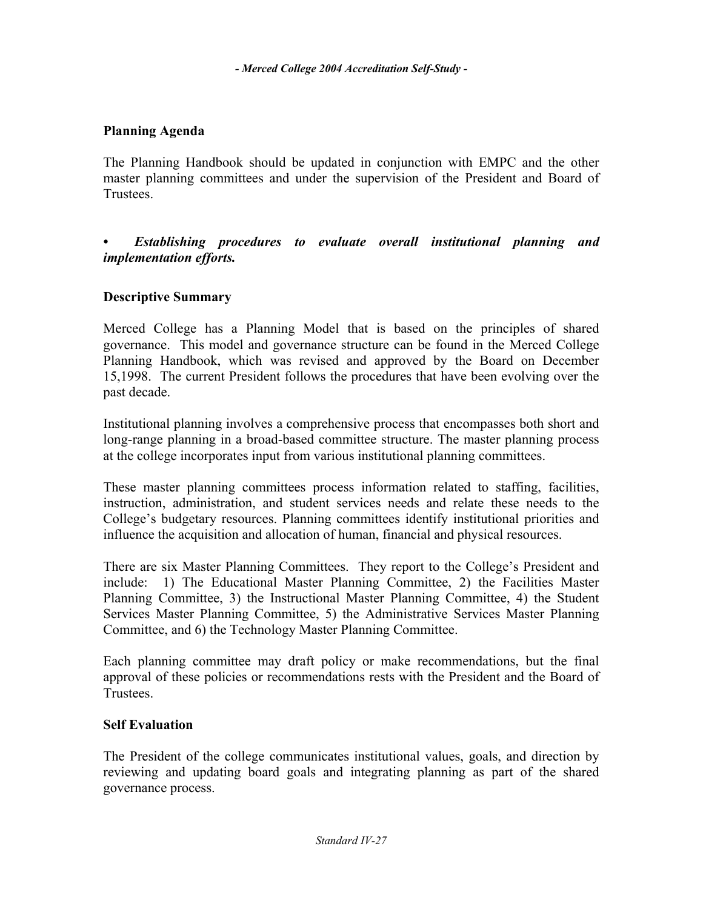## **Planning Agenda**

The Planning Handbook should be updated in conjunction with EMPC and the other master planning committees and under the supervision of the President and Board of **Trustees** 

*• Establishing procedures to evaluate overall institutional planning and implementation efforts.* 

### **Descriptive Summary**

Merced College has a Planning Model that is based on the principles of shared governance. This model and governance structure can be found in the Merced College Planning Handbook, which was revised and approved by the Board on December 15,1998. The current President follows the procedures that have been evolving over the past decade.

Institutional planning involves a comprehensive process that encompasses both short and long-range planning in a broad-based committee structure. The master planning process at the college incorporates input from various institutional planning committees.

These master planning committees process information related to staffing, facilities, instruction, administration, and student services needs and relate these needs to the College's budgetary resources. Planning committees identify institutional priorities and influence the acquisition and allocation of human, financial and physical resources.

There are six Master Planning Committees. They report to the College's President and include: 1) The Educational Master Planning Committee, 2) the Facilities Master Planning Committee, 3) the Instructional Master Planning Committee, 4) the Student Services Master Planning Committee, 5) the Administrative Services Master Planning Committee, and 6) the Technology Master Planning Committee.

Each planning committee may draft policy or make recommendations, but the final approval of these policies or recommendations rests with the President and the Board of Trustees.

### **Self Evaluation**

The President of the college communicates institutional values, goals, and direction by reviewing and updating board goals and integrating planning as part of the shared governance process.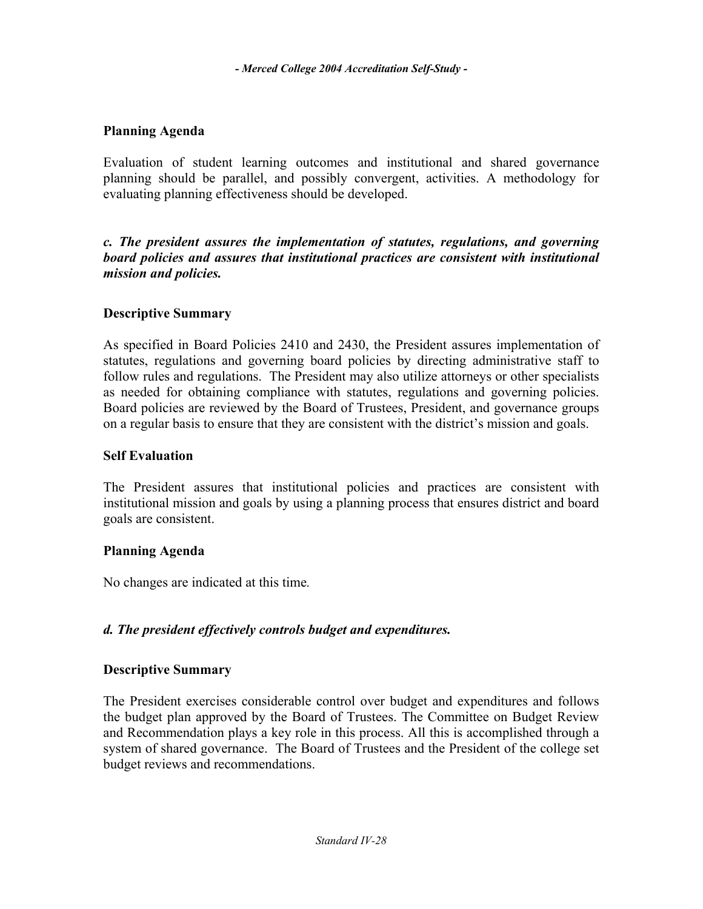### **Planning Agenda**

Evaluation of student learning outcomes and institutional and shared governance planning should be parallel, and possibly convergent, activities. A methodology for evaluating planning effectiveness should be developed.

*c. The president assures the implementation of statutes, regulations, and governing board policies and assures that institutional practices are consistent with institutional mission and policies.* 

### **Descriptive Summary**

As specified in Board Policies 2410 and 2430, the President assures implementation of statutes, regulations and governing board policies by directing administrative staff to follow rules and regulations. The President may also utilize attorneys or other specialists as needed for obtaining compliance with statutes, regulations and governing policies. Board policies are reviewed by the Board of Trustees, President, and governance groups on a regular basis to ensure that they are consistent with the district's mission and goals.

### **Self Evaluation**

The President assures that institutional policies and practices are consistent with institutional mission and goals by using a planning process that ensures district and board goals are consistent.

### **Planning Agenda**

No changes are indicated at this time*.*

# *d. The president effectively controls budget and expenditures.*

### **Descriptive Summary**

The President exercises considerable control over budget and expenditures and follows the budget plan approved by the Board of Trustees. The Committee on Budget Review and Recommendation plays a key role in this process. All this is accomplished through a system of shared governance. The Board of Trustees and the President of the college set budget reviews and recommendations.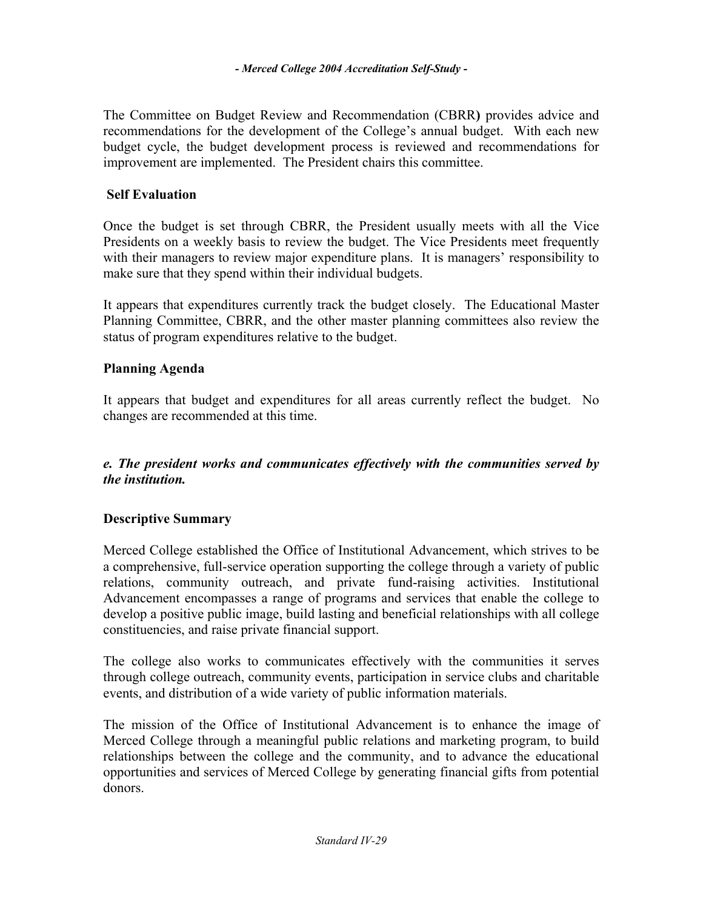The Committee on Budget Review and Recommendation (CBRR**)** provides advice and recommendations for the development of the College's annual budget. With each new budget cycle, the budget development process is reviewed and recommendations for improvement are implemented. The President chairs this committee.

### **Self Evaluation**

Once the budget is set through CBRR, the President usually meets with all the Vice Presidents on a weekly basis to review the budget. The Vice Presidents meet frequently with their managers to review major expenditure plans. It is managers' responsibility to make sure that they spend within their individual budgets.

It appears that expenditures currently track the budget closely. The Educational Master Planning Committee, CBRR, and the other master planning committees also review the status of program expenditures relative to the budget.

### **Planning Agenda**

It appears that budget and expenditures for all areas currently reflect the budget. No changes are recommended at this time.

### *e. The president works and communicates effectively with the communities served by the institution.*

# **Descriptive Summary**

Merced College established the Office of Institutional Advancement, which strives to be a comprehensive, full-service operation supporting the college through a variety of public relations, community outreach, and private fund-raising activities. Institutional Advancement encompasses a range of programs and services that enable the college to develop a positive public image, build lasting and beneficial relationships with all college constituencies, and raise private financial support.

The college also works to communicates effectively with the communities it serves through college outreach, community events, participation in service clubs and charitable events, and distribution of a wide variety of public information materials.

The mission of the Office of Institutional Advancement is to enhance the image of Merced College through a meaningful public relations and marketing program, to build relationships between the college and the community, and to advance the educational opportunities and services of Merced College by generating financial gifts from potential donors.